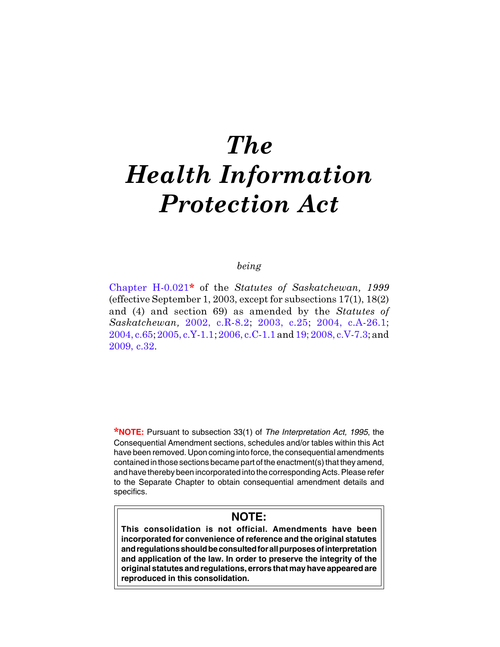# The Health Information Protection Act

# being

[Chapter H-0.021](http://www.qp.gov.sk.ca/documents/english/chapters/1999/H0-021.pdf)\* of the Statutes of Saskatchewan, 1999 (effective September 1, 2003, except for subsections 17(1), 18(2) and (4) and section 69) as amended by the Statutes of Saskatchewan, [2002, c.R-8.2;](http://www.qp.gov.sk.ca/documents/english/Chapters/2002/r8-2.pdf) [2003, c.25](http://www.qp.gov.sk.ca/documents/english/Chapters/2003/Chap-25.pdf); [2004, c.A-26.1](http://www.qp.gov.sk.ca/documents/english/Chapters/2004/A26-1.pdf); [2004, c.65;](http://www.qp.gov.sk.ca/documents/english/Chapters/2004/Chap-65.pdf) [2005, c.Y-1.1](http://www.qp.gov.sk.ca/documents/english/Chapters/2005/Y1-1.pdf); [2006, c.C-1.1](http://www.qp.gov.sk.ca/documents/english/Chapters/2006/C1-1.pdf) and [19;](http://www.qp.gov.sk.ca/documents/english/Chapters/2006/Chap-19.pdf) [2008, c.V-7.3;](http://www.qp.gov.sk.ca/documents/english/Chapters/2008/V7-3.pdf) and [2009, c.32.](http://www.qp.gov.sk.ca/documents/english/Chapters/2009/Chap-32.pdf)

\***NOTE:** Pursuant to subsection 33(1) of *The Interpretation Act, 1995*, the Consequential Amendment sections, schedules and/or tables within this Act have been removed. Upon coming into force, the consequential amendments contained in those sections became part of the enactment(s) that they amend, and have thereby been incorporated into the corresponding Acts. Please refer to the Separate Chapter to obtain consequential amendment details and specifics.

# **NOTE:**

**This consolidation is not official. Amendments have been incorporated for convenience of reference and the original statutes and regulations should be consulted for all purposes of interpretation and application of the law. In order to preserve the integrity of the original statutes and regulations, errors that may have appeared are reproduced in this consolidation.**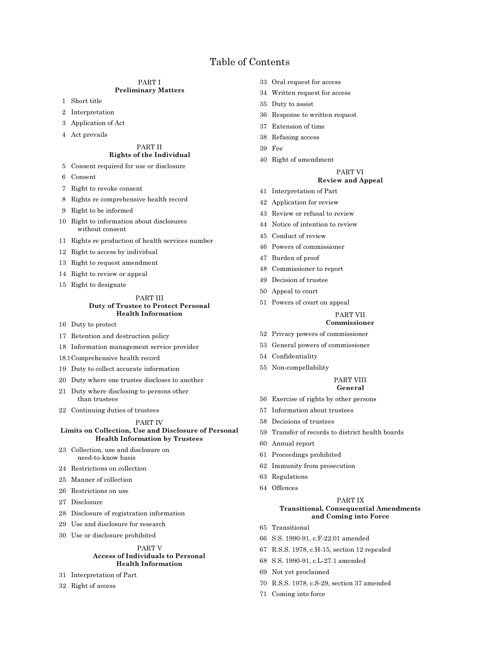# Table of Contents

#### PART I Preliminary Matters

- 1 Short title
- 2 Interpretation
- 3 Application of Act
- 4 Act prevails

#### PART II Rights of the Individual

- 5 Consent required for use or disclosure
- 6 Consent
- 7 Right to revoke consent
- 8 Rights re comprehensive health record
- 9 Right to be informed
- 10 Right to information about disclosures without consent
- 11 Rights re production of health services number
- 12 Right to access by individual
- 13 Right to request amendment
- 14 Right to review or appeal
- 15 Right to designate

#### PART III Duty of Trustee to Protect Personal Health Information

- 16 Duty to protect
- 17 Retention and destruction policy
- 18 Information management service provider
- 18.1Comprehensive health record
- 19 Duty to collect accurate information
- 20 Duty where one trustee discloses to another
- 21 Duty where disclosing to persons other than trustees
- 22 Continuing duties of trustees

#### PART IV

#### Limits on Collection, Use and Disclosure of Personal Health Information by Trustees

- 23 Collection, use and disclosure on need-to-know basis
- 24 Restrictions on collection
- 25 Manner of collection
- 26 Restrictions on use
- 27 Disclosure
- 28 Disclosure of registration information
- 29 Use and disclosure for research
- 30 Use or disclosure prohibited

#### PART V Access of Individuals to Personal Health Information

- 31 Interpretation of Part
- 32 Right of access
- 33 Oral request for access
- 34 Written request for access
- 35 Duty to assist
- 36 Response to written request
- 37 Extension of time
- 38 Refusing access
- 39 Fee
- 40 Right of amendment

# PART VI

# Review and Appeal

- 41 Interpretation of Part
- 42 Application for review
- 43 Review or refusal to review
- 44 Notice of intention to review
- 45 Conduct of review
- 46 Powers of commissioner
- 47 Burden of proof
- 48 Commissioner to report
- 49 Decision of trustee
- 50 Appeal to court
- 51 Powers of court on appeal

# PART VII

# Commissioner

- 52 Privacy powers of commissioner
- 53 General powers of commissioner
- 54 Confidentiality
- 55 Non-compellability

#### PART VIII General

- 56 Exercise of rights by other persons
- 57 Information about trustees
- 58 Decisions of trustees
- 59 Transfer of records to district health boards
- 60 Annual report
- 61 Proceedings prohibited
- 62 Immunity from prosecution
- 63 Regulations
- 64 Offences

#### PART IX Transitional, Consequential Amendments and Coming into Force

- 65 Transitional
- 66 S.S. 1990-91, c.F-22.01 amended
- 67 R.S.S. 1978, c.H-15, section 12 repealed
- 68 S.S. 1990-91, c.L-27.1 amended
- 69 Not yet proclaimed
- 70 R.S.S. 1978, c.S-29, section 37 amended
- 71 Coming into force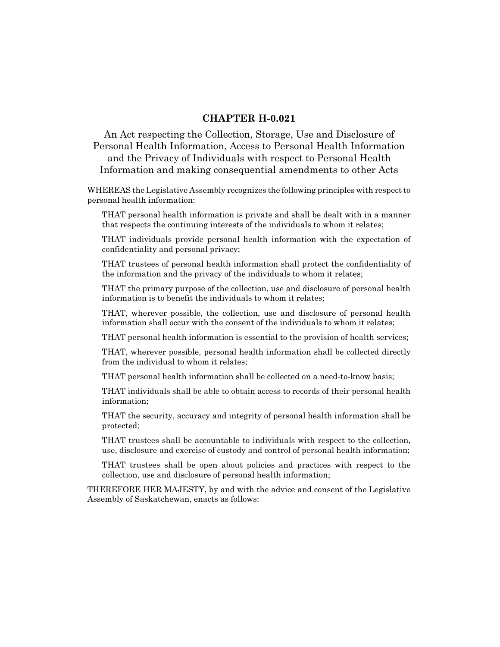# CHAPTER H-0.021

An Act respecting the Collection, Storage, Use and Disclosure of Personal Health Information, Access to Personal Health Information and the Privacy of Individuals with respect to Personal Health Information and making consequential amendments to other Acts

WHEREAS the Legislative Assembly recognizes the following principles with respect to personal health information:

THAT personal health information is private and shall be dealt with in a manner that respects the continuing interests of the individuals to whom it relates;

THAT individuals provide personal health information with the expectation of confidentiality and personal privacy;

THAT trustees of personal health information shall protect the confidentiality of the information and the privacy of the individuals to whom it relates;

THAT the primary purpose of the collection, use and disclosure of personal health information is to benefit the individuals to whom it relates;

THAT, wherever possible, the collection, use and disclosure of personal health information shall occur with the consent of the individuals to whom it relates;

THAT personal health information is essential to the provision of health services;

THAT, wherever possible, personal health information shall be collected directly from the individual to whom it relates;

THAT personal health information shall be collected on a need-to-know basis;

THAT individuals shall be able to obtain access to records of their personal health information;

THAT the security, accuracy and integrity of personal health information shall be protected;

THAT trustees shall be accountable to individuals with respect to the collection, use, disclosure and exercise of custody and control of personal health information;

THAT trustees shall be open about policies and practices with respect to the collection, use and disclosure of personal health information;

THEREFORE HER MAJESTY, by and with the advice and consent of the Legislative Assembly of Saskatchewan, enacts as follows: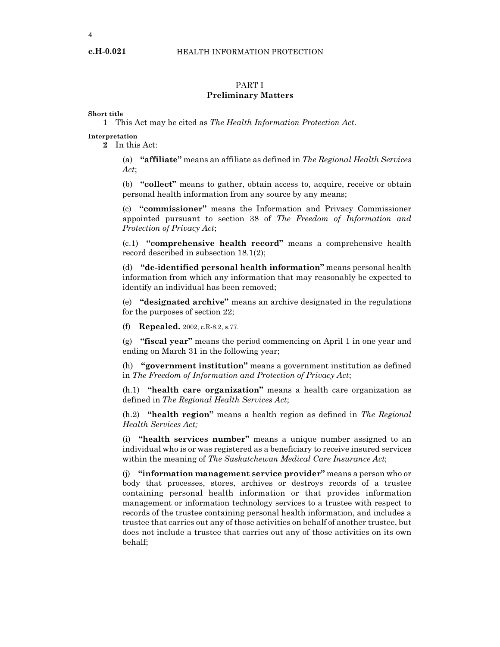# PART I

# Preliminary Matters

Short title

c.H-0.021

1 This Act may be cited as The Health Information Protection Act.

Interpretation

2 In this Act:

(a) "affiliate" means an affiliate as defined in The Regional Health Services Act;

(b) "collect" means to gather, obtain access to, acquire, receive or obtain personal health information from any source by any means;

(c) "commissioner" means the Information and Privacy Commissioner appointed pursuant to section 38 of The Freedom of Information and Protection of Privacy Act;

(c.1) "comprehensive health record" means a comprehensive health record described in subsection 18.1(2);

(d) "de-identified personal health information" means personal health information from which any information that may reasonably be expected to identify an individual has been removed;

(e) "designated archive" means an archive designated in the regulations for the purposes of section 22;

(f) Repealed. 2002, c.R-8.2, s.77.

(g) "fiscal year" means the period commencing on April 1 in one year and ending on March 31 in the following year;

(h) "government institution" means a government institution as defined in The Freedom of Information and Protection of Privacy Act;

(h.1) "health care organization" means a health care organization as defined in The Regional Health Services Act;

 $(h.2)$  "health region" means a health region as defined in The Regional Health Services Act;

(i) "health services number" means a unique number assigned to an individual who is or was registered as a beneficiary to receive insured services within the meaning of The Saskatchewan Medical Care Insurance Act;

(j) "information management service provider" means a person who or body that processes, stores, archives or destroys records of a trustee containing personal health information or that provides information management or information technology services to a trustee with respect to records of the trustee containing personal health information, and includes a trustee that carries out any of those activities on behalf of another trustee, but does not include a trustee that carries out any of those activities on its own behalf;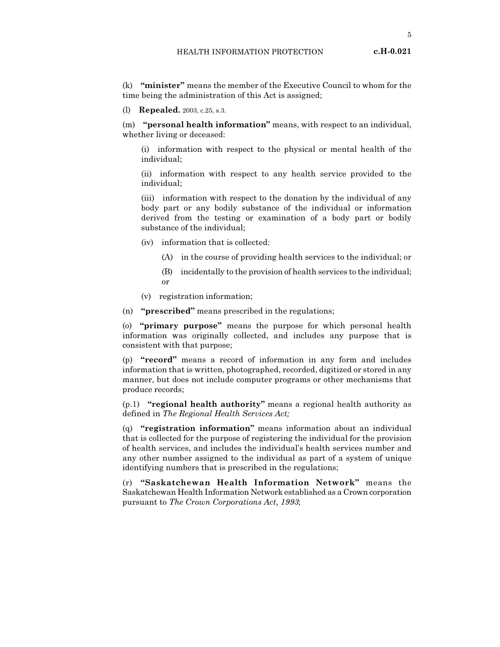5

(k) "minister" means the member of the Executive Council to whom for the time being the administration of this Act is assigned;

(l) Repealed. 2003, c.25, s.3.

(m) "personal health information" means, with respect to an individual, whether living or deceased:

(i) information with respect to the physical or mental health of the individual;

(ii) information with respect to any health service provided to the individual;

(iii) information with respect to the donation by the individual of any body part or any bodily substance of the individual or information derived from the testing or examination of a body part or bodily substance of the individual;

- (iv) information that is collected:
	- (A) in the course of providing health services to the individual; or
	- (B) incidentally to the provision of health services to the individual; or
- (v) registration information;
- (n) "prescribed" means prescribed in the regulations;

(o) "primary purpose" means the purpose for which personal health information was originally collected, and includes any purpose that is consistent with that purpose;

(p) "record" means a record of information in any form and includes information that is written, photographed, recorded, digitized or stored in any manner, but does not include computer programs or other mechanisms that produce records;

(p.1) "regional health authority" means a regional health authority as defined in The Regional Health Services Act;

(q) "registration information" means information about an individual that is collected for the purpose of registering the individual for the provision of health services, and includes the individual's health services number and any other number assigned to the individual as part of a system of unique identifying numbers that is prescribed in the regulations;

(r) "Saskatchewan Health Information Network" means the Saskatchewan Health Information Network established as a Crown corporation pursuant to The Crown Corporations Act, 1993;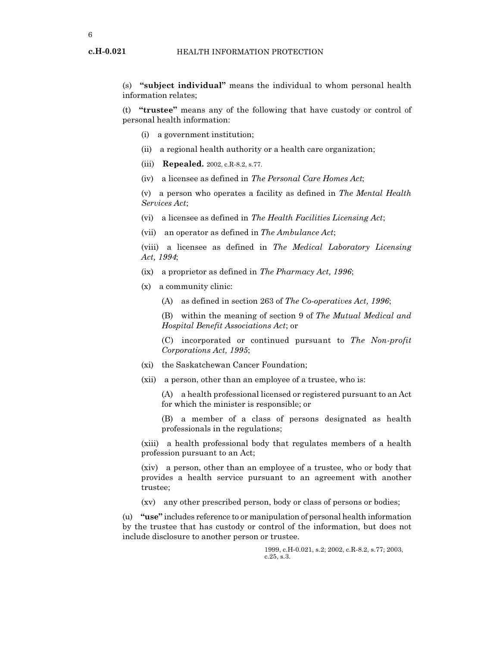(s) "subject individual" means the individual to whom personal health information relates;

(t) "trustee" means any of the following that have custody or control of personal health information:

- (i) a government institution;
- (ii) a regional health authority or a health care organization;
- (iii) **Repealed.** 2002, c.R. 8.2, s. 77.
- (iv) a licensee as defined in The Personal Care Homes Act;

(v) a person who operates a facility as defined in The Mental Health Services Act;

(vi) a licensee as defined in The Health Facilities Licensing Act;

(vii) an operator as defined in The Ambulance Act;

(viii) a licensee as defined in The Medical Laboratory Licensing Act, 1994;

- (ix) a proprietor as defined in The Pharmacy Act, 1996;
- (x) a community clinic:
	- (A) as defined in section 263 of The Co-operatives Act, 1996;

(B) within the meaning of section 9 of The Mutual Medical and Hospital Benefit Associations Act; or

(C) incorporated or continued pursuant to The Non-profit Corporations Act, 1995;

- (xi) the Saskatchewan Cancer Foundation;
- (xii) a person, other than an employee of a trustee, who is:

(A) a health professional licensed or registered pursuant to an Act for which the minister is responsible; or

(B) a member of a class of persons designated as health professionals in the regulations;

(xiii) a health professional body that regulates members of a health profession pursuant to an Act;

(xiv) a person, other than an employee of a trustee, who or body that provides a health service pursuant to an agreement with another trustee;

(xv) any other prescribed person, body or class of persons or bodies;

(u) "use" includes reference to or manipulation of personal health information by the trustee that has custody or control of the information, but does not include disclosure to another person or trustee.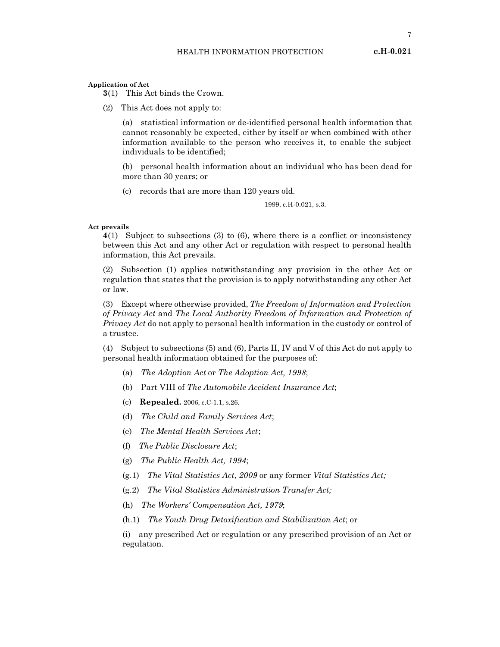Application of Act

3(1) This Act binds the Crown.

(2) This Act does not apply to:

(a) statistical information or de-identified personal health information that cannot reasonably be expected, either by itself or when combined with other information available to the person who receives it, to enable the subject individuals to be identified;

(b) personal health information about an individual who has been dead for more than 30 years; or

(c) records that are more than 120 years old.

1999, c.H-0.021, s.3.

#### Act prevails

4(1) Subject to subsections (3) to (6), where there is a conflict or inconsistency between this Act and any other Act or regulation with respect to personal health information, this Act prevails.

(2) Subsection (1) applies notwithstanding any provision in the other Act or regulation that states that the provision is to apply notwithstanding any other Act or law.

(3) Except where otherwise provided, The Freedom of Information and Protection of Privacy Act and The Local Authority Freedom of Information and Protection of Privacy Act do not apply to personal health information in the custody or control of a trustee.

(4) Subject to subsections (5) and (6), Parts II, IV and V of this Act do not apply to personal health information obtained for the purposes of:

- (a) The Adoption Act or The Adoption Act, 1998;
- (b) Part VIII of The Automobile Accident Insurance Act;
- (c) Repealed. 2006, c.C-1.1, s.26.
- (d) The Child and Family Services Act;
- (e) The Mental Health Services Act;
- (f) The Public Disclosure Act;
- (g) The Public Health Act, 1994;
- (g.1) The Vital Statistics Act, 2009 or any former Vital Statistics Act;
- (g.2) The Vital Statistics Administration Transfer Act;
- (h) The Workers' Compensation Act, 1979;
- (h.1) The Youth Drug Detoxification and Stabilization Act; or

(i) any prescribed Act or regulation or any prescribed provision of an Act or regulation.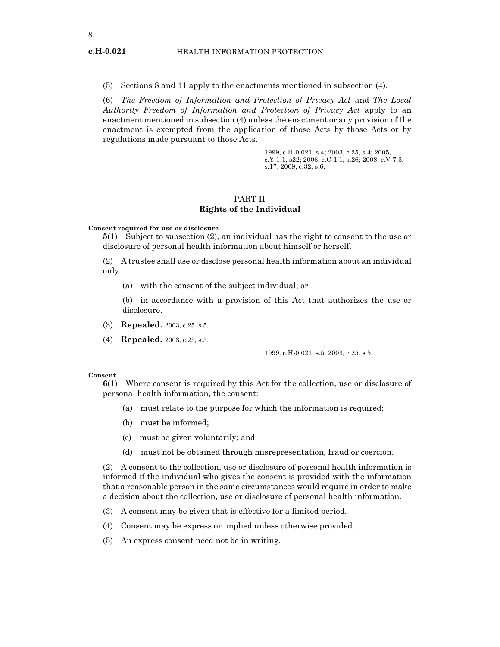(5) Sections 8 and 11 apply to the enactments mentioned in subsection (4).

(6) The Freedom of Information and Protection of Privacy Act and The Local Authority Freedom of Information and Protection of Privacy Act apply to an enactment mentioned in subsection (4) unless the enactment or any provision of the enactment is exempted from the application of those Acts by those Acts or by regulations made pursuant to those Acts.

> 1999, c.H-0.021, s.4; 2003, c.25, s.4; 2005, c.Y-1.1, s22; 2006, c.C-1.1, s.26; 2008, c.V-7.3, s.17; 2009, c.32, s.6.

# PART II Rights of the Individual

Consent required for use or disclosure

5(1) Subject to subsection (2), an individual has the right to consent to the use or disclosure of personal health information about himself or herself.

(2) A trustee shall use or disclose personal health information about an individual only:

(a) with the consent of the subject individual; or

(b) in accordance with a provision of this Act that authorizes the use or disclosure.

- (3) Repealed. 2003, c.25, s.5.
- (4) Repealed. 2003, c.25, s.5.

1999, c.H-0.021, s.5; 2003, c.25, s.5.

#### Consent

6(1) Where consent is required by this Act for the collection, use or disclosure of personal health information, the consent:

- (a) must relate to the purpose for which the information is required;
- (b) must be informed;
- (c) must be given voluntarily; and
- (d) must not be obtained through misrepresentation, fraud or coercion.

(2) A consent to the collection, use or disclosure of personal health information is informed if the individual who gives the consent is provided with the information that a reasonable person in the same circumstances would require in order to make a decision about the collection, use or disclosure of personal health information.

- (3) A consent may be given that is effective for a limited period.
- (4) Consent may be express or implied unless otherwise provided.
- (5) An express consent need not be in writing.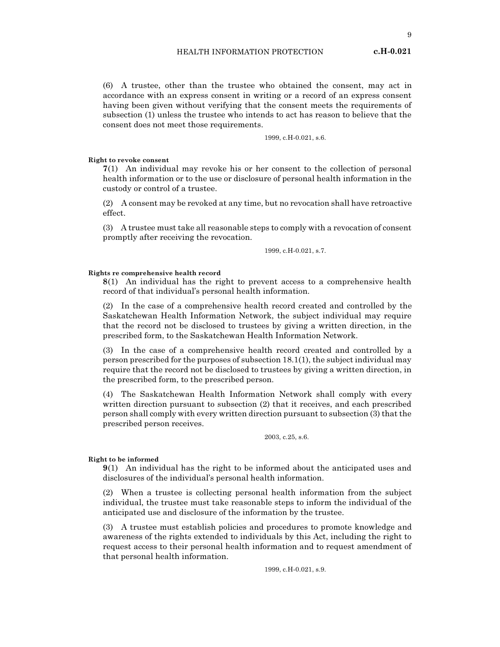(6) A trustee, other than the trustee who obtained the consent, may act in accordance with an express consent in writing or a record of an express consent having been given without verifying that the consent meets the requirements of subsection (1) unless the trustee who intends to act has reason to believe that the consent does not meet those requirements.

1999, c.H-0.021, s.6.

Right to revoke consent

7(1) An individual may revoke his or her consent to the collection of personal health information or to the use or disclosure of personal health information in the custody or control of a trustee.

(2) A consent may be revoked at any time, but no revocation shall have retroactive effect.

(3) A trustee must take all reasonable steps to comply with a revocation of consent promptly after receiving the revocation.

1999, c.H-0.021, s.7.

#### Rights re comprehensive health record

8(1) An individual has the right to prevent access to a comprehensive health record of that individual's personal health information.

(2) In the case of a comprehensive health record created and controlled by the Saskatchewan Health Information Network, the subject individual may require that the record not be disclosed to trustees by giving a written direction, in the prescribed form, to the Saskatchewan Health Information Network.

(3) In the case of a comprehensive health record created and controlled by a person prescribed for the purposes of subsection 18.1(1), the subject individual may require that the record not be disclosed to trustees by giving a written direction, in the prescribed form, to the prescribed person.

(4) The Saskatchewan Health Information Network shall comply with every written direction pursuant to subsection (2) that it receives, and each prescribed person shall comply with every written direction pursuant to subsection (3) that the prescribed person receives.

2003, c.25, s.6.

#### Right to be informed

9(1) An individual has the right to be informed about the anticipated uses and disclosures of the individual's personal health information.

(2) When a trustee is collecting personal health information from the subject individual, the trustee must take reasonable steps to inform the individual of the anticipated use and disclosure of the information by the trustee.

(3) A trustee must establish policies and procedures to promote knowledge and awareness of the rights extended to individuals by this Act, including the right to request access to their personal health information and to request amendment of that personal health information.

1999, c.H-0.021, s.9.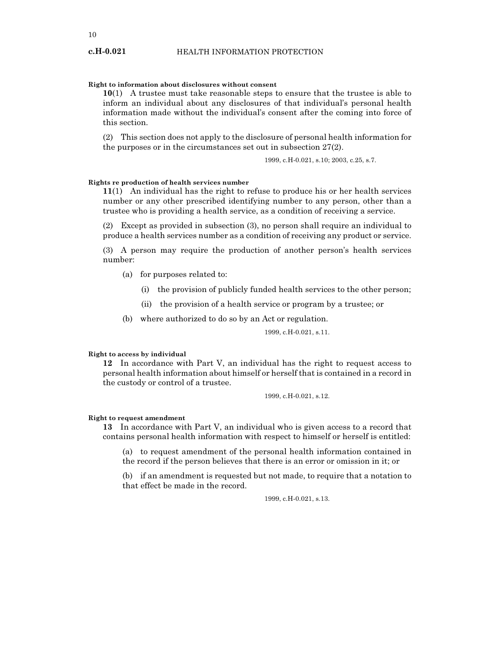# Right to information about disclosures without consent

10(1) A trustee must take reasonable steps to ensure that the trustee is able to inform an individual about any disclosures of that individual's personal health information made without the individual's consent after the coming into force of this section.

(2) This section does not apply to the disclosure of personal health information for the purposes or in the circumstances set out in subsection 27(2).

1999, c.H-0.021, s.10; 2003, c.25, s.7.

#### Rights re production of health services number

11(1) An individual has the right to refuse to produce his or her health services number or any other prescribed identifying number to any person, other than a trustee who is providing a health service, as a condition of receiving a service.

(2) Except as provided in subsection (3), no person shall require an individual to produce a health services number as a condition of receiving any product or service.

(3) A person may require the production of another person's health services number:

- (a) for purposes related to:
	- (i) the provision of publicly funded health services to the other person;
	- (ii) the provision of a health service or program by a trustee; or
- (b) where authorized to do so by an Act or regulation.

1999, c.H-0.021, s.11.

#### Right to access by individual

12 In accordance with Part V, an individual has the right to request access to personal health information about himself or herself that is contained in a record in the custody or control of a trustee.

1999, c.H-0.021, s.12.

#### Right to request amendment

13 In accordance with Part V, an individual who is given access to a record that contains personal health information with respect to himself or herself is entitled:

(a) to request amendment of the personal health information contained in the record if the person believes that there is an error or omission in it; or

(b) if an amendment is requested but not made, to require that a notation to that effect be made in the record.

1999, c.H-0.021, s.13.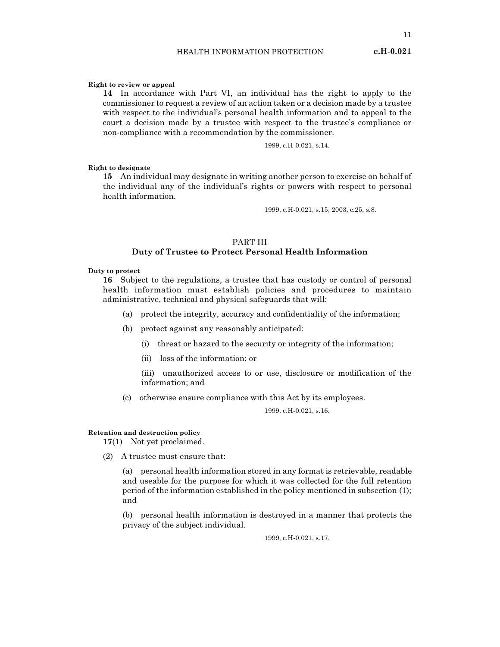11

#### Right to review or appeal

14 In accordance with Part VI, an individual has the right to apply to the commissioner to request a review of an action taken or a decision made by a trustee with respect to the individual's personal health information and to appeal to the court a decision made by a trustee with respect to the trustee's compliance or non-compliance with a recommendation by the commissioner.

1999, c.H-0.021, s.14.

#### Right to designate

15 An individual may designate in writing another person to exercise on behalf of the individual any of the individual's rights or powers with respect to personal health information.

1999, c.H-0.021, s.15; 2003, c.25, s.8.

# PART III Duty of Trustee to Protect Personal Health Information

#### Duty to protect

16 Subject to the regulations, a trustee that has custody or control of personal health information must establish policies and procedures to maintain administrative, technical and physical safeguards that will:

- (a) protect the integrity, accuracy and confidentiality of the information;
- (b) protect against any reasonably anticipated:
	- (i) threat or hazard to the security or integrity of the information;
	- (ii) loss of the information; or

(iii) unauthorized access to or use, disclosure or modification of the information; and

(c) otherwise ensure compliance with this Act by its employees.

1999, c.H-0.021, s.16.

#### Retention and destruction policy

17(1) Not yet proclaimed.

(2) A trustee must ensure that:

(a) personal health information stored in any format is retrievable, readable and useable for the purpose for which it was collected for the full retention period of the information established in the policy mentioned in subsection (1); and

(b) personal health information is destroyed in a manner that protects the privacy of the subject individual.

1999, c.H-0.021, s.17.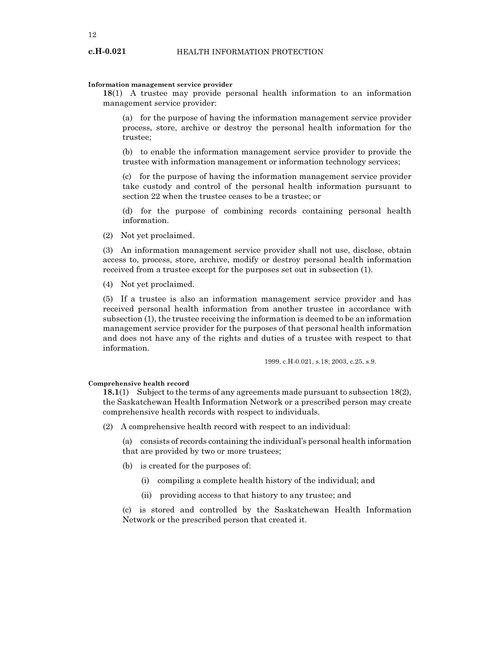#### Information management service provider

18(1) A trustee may provide personal health information to an information management service provider:

(a) for the purpose of having the information management service provider process, store, archive or destroy the personal health information for the trustee;

(b) to enable the information management service provider to provide the trustee with information management or information technology services;

(c) for the purpose of having the information management service provider take custody and control of the personal health information pursuant to section 22 when the trustee ceases to be a trustee; or

(d) for the purpose of combining records containing personal health information.

(2) Not yet proclaimed.

(3) An information management service provider shall not use, disclose, obtain access to, process, store, archive, modify or destroy personal health information received from a trustee except for the purposes set out in subsection (1).

(4) Not yet proclaimed.

(5) If a trustee is also an information management service provider and has received personal health information from another trustee in accordance with subsection (1), the trustee receiving the information is deemed to be an information management service provider for the purposes of that personal health information and does not have any of the rights and duties of a trustee with respect to that information.

1999, c.H-0.021, s.18; 2003, c.25, s.9.

#### Comprehensive health record

18.1(1) Subject to the terms of any agreements made pursuant to subsection 18(2), the Saskatchewan Health Information Network or a prescribed person may create comprehensive health records with respect to individuals.

(2) A comprehensive health record with respect to an individual:

(a) consists of records containing the individual's personal health information that are provided by two or more trustees;

- (b) is created for the purposes of:
	- (i) compiling a complete health history of the individual; and
	- (ii) providing access to that history to any trustee; and

(c) is stored and controlled by the Saskatchewan Health Information Network or the prescribed person that created it.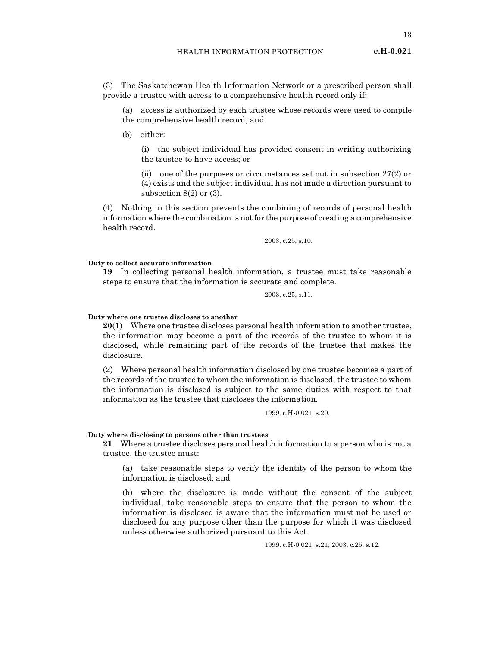13

(3) The Saskatchewan Health Information Network or a prescribed person shall provide a trustee with access to a comprehensive health record only if:

(a) access is authorized by each trustee whose records were used to compile the comprehensive health record; and

(b) either:

(i) the subject individual has provided consent in writing authorizing the trustee to have access; or

(ii) one of the purposes or circumstances set out in subsection 27(2) or (4) exists and the subject individual has not made a direction pursuant to subsection 8(2) or (3).

(4) Nothing in this section prevents the combining of records of personal health information where the combination is not for the purpose of creating a comprehensive health record.

2003, c.25, s.10.

#### Duty to collect accurate information

19 In collecting personal health information, a trustee must take reasonable steps to ensure that the information is accurate and complete.

2003, c.25, s.11.

#### Duty where one trustee discloses to another

20(1) Where one trustee discloses personal health information to another trustee, the information may become a part of the records of the trustee to whom it is disclosed, while remaining part of the records of the trustee that makes the disclosure.

(2) Where personal health information disclosed by one trustee becomes a part of the records of the trustee to whom the information is disclosed, the trustee to whom the information is disclosed is subject to the same duties with respect to that information as the trustee that discloses the information.

1999, c.H-0.021, s.20.

#### Duty where disclosing to persons other than trustees

21 Where a trustee discloses personal health information to a person who is not a trustee, the trustee must:

(a) take reasonable steps to verify the identity of the person to whom the information is disclosed; and

(b) where the disclosure is made without the consent of the subject individual, take reasonable steps to ensure that the person to whom the information is disclosed is aware that the information must not be used or disclosed for any purpose other than the purpose for which it was disclosed unless otherwise authorized pursuant to this Act.

1999, c.H-0.021, s.21; 2003, c.25, s.12.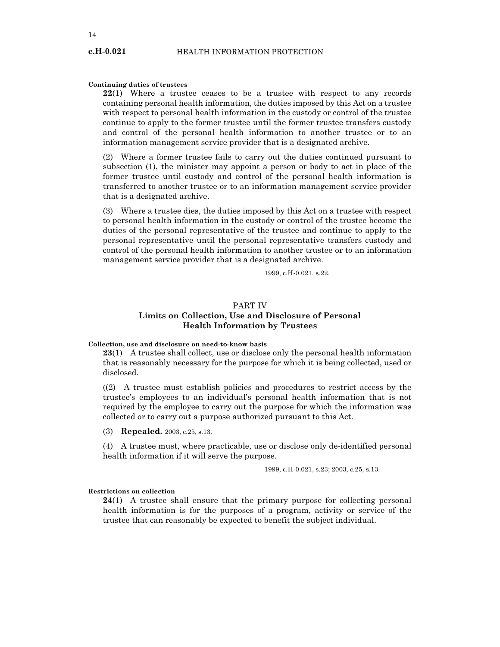#### Continuing duties of trustees

22(1) Where a trustee ceases to be a trustee with respect to any records containing personal health information, the duties imposed by this Act on a trustee with respect to personal health information in the custody or control of the trustee continue to apply to the former trustee until the former trustee transfers custody and control of the personal health information to another trustee or to an information management service provider that is a designated archive.

(2) Where a former trustee fails to carry out the duties continued pursuant to subsection (1), the minister may appoint a person or body to act in place of the former trustee until custody and control of the personal health information is transferred to another trustee or to an information management service provider that is a designated archive.

(3) Where a trustee dies, the duties imposed by this Act on a trustee with respect to personal health information in the custody or control of the trustee become the duties of the personal representative of the trustee and continue to apply to the personal representative until the personal representative transfers custody and control of the personal health information to another trustee or to an information management service provider that is a designated archive.

1999, c.H-0.021, s.22.

# PART IV Limits on Collection, Use and Disclosure of Personal Health Information by Trustees

#### Collection, use and disclosure on need-to-know basis

23(1) A trustee shall collect, use or disclose only the personal health information that is reasonably necessary for the purpose for which it is being collected, used or disclosed.

((2) A trustee must establish policies and procedures to restrict access by the trustee's employees to an individual's personal health information that is not required by the employee to carry out the purpose for which the information was collected or to carry out a purpose authorized pursuant to this Act.

(3) Repealed. 2003, c.25, s.13.

(4) A trustee must, where practicable, use or disclose only de-identified personal health information if it will serve the purpose.

1999, c.H-0.021, s.23; 2003, c.25, s.13.

#### Restrictions on collection

 $24(1)$  A trustee shall ensure that the primary purpose for collecting personal health information is for the purposes of a program, activity or service of the trustee that can reasonably be expected to benefit the subject individual.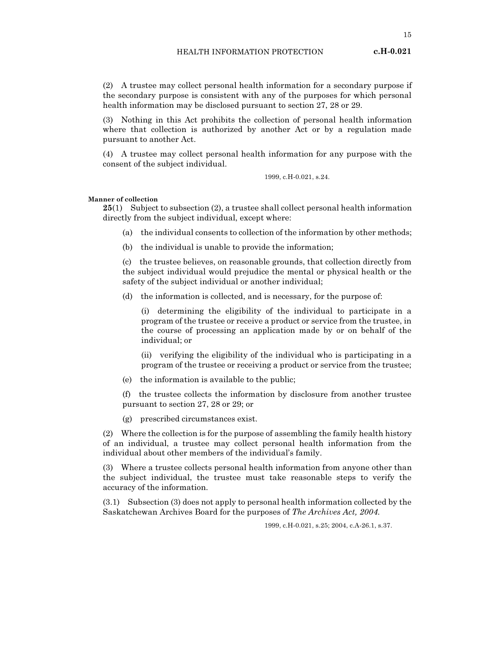(2) A trustee may collect personal health information for a secondary purpose if the secondary purpose is consistent with any of the purposes for which personal health information may be disclosed pursuant to section 27, 28 or 29.

(3) Nothing in this Act prohibits the collection of personal health information where that collection is authorized by another Act or by a regulation made pursuant to another Act.

(4) A trustee may collect personal health information for any purpose with the consent of the subject individual.

1999, c.H-0.021, s.24.

#### Manner of collection

25(1) Subject to subsection (2), a trustee shall collect personal health information directly from the subject individual, except where:

- (a) the individual consents to collection of the information by other methods;
- (b) the individual is unable to provide the information;

(c) the trustee believes, on reasonable grounds, that collection directly from the subject individual would prejudice the mental or physical health or the safety of the subject individual or another individual;

(d) the information is collected, and is necessary, for the purpose of:

(i) determining the eligibility of the individual to participate in a program of the trustee or receive a product or service from the trustee, in the course of processing an application made by or on behalf of the individual; or

(ii) verifying the eligibility of the individual who is participating in a program of the trustee or receiving a product or service from the trustee;

(e) the information is available to the public;

(f) the trustee collects the information by disclosure from another trustee pursuant to section 27, 28 or 29; or

(g) prescribed circumstances exist.

(2) Where the collection is for the purpose of assembling the family health history of an individual, a trustee may collect personal health information from the individual about other members of the individual's family.

(3) Where a trustee collects personal health information from anyone other than the subject individual, the trustee must take reasonable steps to verify the accuracy of the information.

(3.1) Subsection (3) does not apply to personal health information collected by the Saskatchewan Archives Board for the purposes of The Archives Act, 2004.

1999, c.H-0.021, s.25; 2004, c.A-26.1, s.37.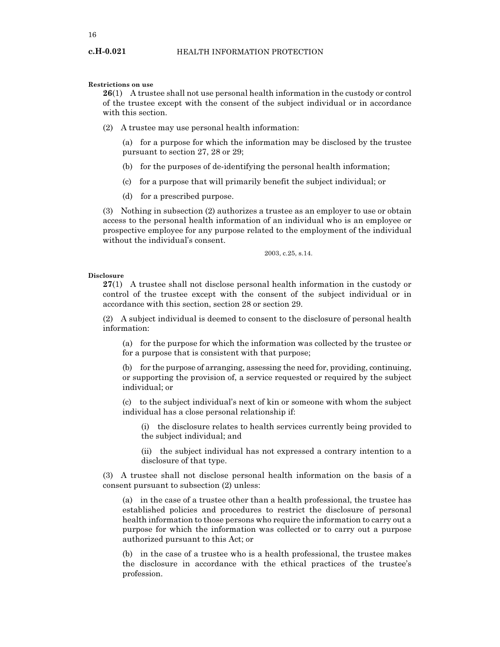#### Restrictions on use

26(1) A trustee shall not use personal health information in the custody or control of the trustee except with the consent of the subject individual or in accordance with this section.

(2) A trustee may use personal health information:

(a) for a purpose for which the information may be disclosed by the trustee pursuant to section 27, 28 or 29;

- (b) for the purposes of de-identifying the personal health information;
- (c) for a purpose that will primarily benefit the subject individual; or
- (d) for a prescribed purpose.

(3) Nothing in subsection (2) authorizes a trustee as an employer to use or obtain access to the personal health information of an individual who is an employee or prospective employee for any purpose related to the employment of the individual without the individual's consent.

2003, c.25, s.14.

#### Disclosure

27(1) A trustee shall not disclose personal health information in the custody or control of the trustee except with the consent of the subject individual or in accordance with this section, section 28 or section 29.

(2) A subject individual is deemed to consent to the disclosure of personal health information:

(a) for the purpose for which the information was collected by the trustee or for a purpose that is consistent with that purpose;

(b) for the purpose of arranging, assessing the need for, providing, continuing, or supporting the provision of, a service requested or required by the subject individual; or

(c) to the subject individual's next of kin or someone with whom the subject individual has a close personal relationship if:

(i) the disclosure relates to health services currently being provided to the subject individual; and

(ii) the subject individual has not expressed a contrary intention to a disclosure of that type.

(3) A trustee shall not disclose personal health information on the basis of a consent pursuant to subsection (2) unless:

(a) in the case of a trustee other than a health professional, the trustee has established policies and procedures to restrict the disclosure of personal health information to those persons who require the information to carry out a purpose for which the information was collected or to carry out a purpose authorized pursuant to this Act; or

(b) in the case of a trustee who is a health professional, the trustee makes the disclosure in accordance with the ethical practices of the trustee's profession.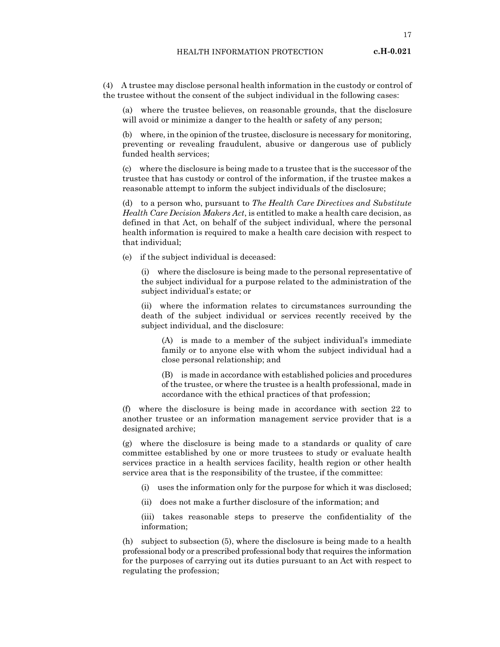17

(4) A trustee may disclose personal health information in the custody or control of the trustee without the consent of the subject individual in the following cases:

(a) where the trustee believes, on reasonable grounds, that the disclosure will avoid or minimize a danger to the health or safety of any person;

(b) where, in the opinion of the trustee, disclosure is necessary for monitoring, preventing or revealing fraudulent, abusive or dangerous use of publicly funded health services;

(c) where the disclosure is being made to a trustee that is the successor of the trustee that has custody or control of the information, if the trustee makes a reasonable attempt to inform the subject individuals of the disclosure;

(d) to a person who, pursuant to The Health Care Directives and Substitute Health Care Decision Makers Act, is entitled to make a health care decision, as defined in that Act, on behalf of the subject individual, where the personal health information is required to make a health care decision with respect to that individual;

(e) if the subject individual is deceased:

(i) where the disclosure is being made to the personal representative of the subject individual for a purpose related to the administration of the subject individual's estate; or

(ii) where the information relates to circumstances surrounding the death of the subject individual or services recently received by the subject individual, and the disclosure:

(A) is made to a member of the subject individual's immediate family or to anyone else with whom the subject individual had a close personal relationship; and

(B) is made in accordance with established policies and procedures of the trustee, or where the trustee is a health professional, made in accordance with the ethical practices of that profession;

(f) where the disclosure is being made in accordance with section 22 to another trustee or an information management service provider that is a designated archive;

(g) where the disclosure is being made to a standards or quality of care committee established by one or more trustees to study or evaluate health services practice in a health services facility, health region or other health service area that is the responsibility of the trustee, if the committee:

- (i) uses the information only for the purpose for which it was disclosed;
- (ii) does not make a further disclosure of the information; and

(iii) takes reasonable steps to preserve the confidentiality of the information;

(h) subject to subsection (5), where the disclosure is being made to a health professional body or a prescribed professional body that requires the information for the purposes of carrying out its duties pursuant to an Act with respect to regulating the profession;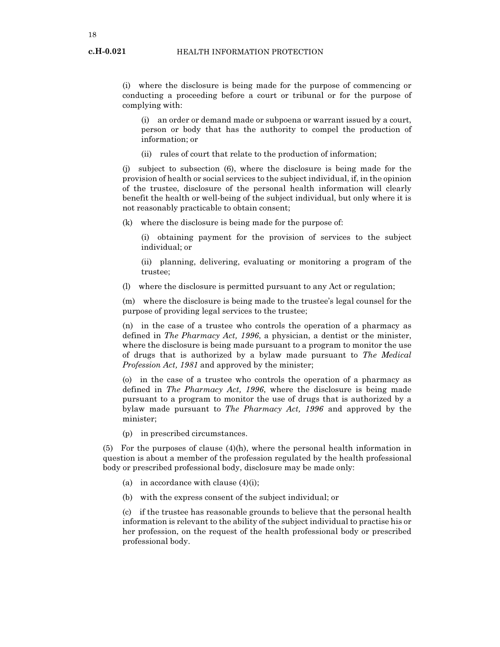(i) where the disclosure is being made for the purpose of commencing or conducting a proceeding before a court or tribunal or for the purpose of complying with:

(i) an order or demand made or subpoena or warrant issued by a court, person or body that has the authority to compel the production of information; or

(ii) rules of court that relate to the production of information;

(j) subject to subsection (6), where the disclosure is being made for the provision of health or social services to the subject individual, if, in the opinion of the trustee, disclosure of the personal health information will clearly benefit the health or well-being of the subject individual, but only where it is not reasonably practicable to obtain consent;

(k) where the disclosure is being made for the purpose of:

(i) obtaining payment for the provision of services to the subject individual; or

(ii) planning, delivering, evaluating or monitoring a program of the trustee;

(l) where the disclosure is permitted pursuant to any Act or regulation;

(m) where the disclosure is being made to the trustee's legal counsel for the purpose of providing legal services to the trustee;

(n) in the case of a trustee who controls the operation of a pharmacy as defined in The Pharmacy Act, 1996, a physician, a dentist or the minister, where the disclosure is being made pursuant to a program to monitor the use of drugs that is authorized by a bylaw made pursuant to The Medical Profession Act, 1981 and approved by the minister;

(o) in the case of a trustee who controls the operation of a pharmacy as defined in The Pharmacy Act, 1996, where the disclosure is being made pursuant to a program to monitor the use of drugs that is authorized by a bylaw made pursuant to The Pharmacy Act, 1996 and approved by the minister;

(p) in prescribed circumstances.

(5) For the purposes of clause  $(4)(h)$ , where the personal health information in question is about a member of the profession regulated by the health professional body or prescribed professional body, disclosure may be made only:

- (a) in accordance with clause  $(4)(i)$ ;
- (b) with the express consent of the subject individual; or

(c) if the trustee has reasonable grounds to believe that the personal health information is relevant to the ability of the subject individual to practise his or her profession, on the request of the health professional body or prescribed professional body.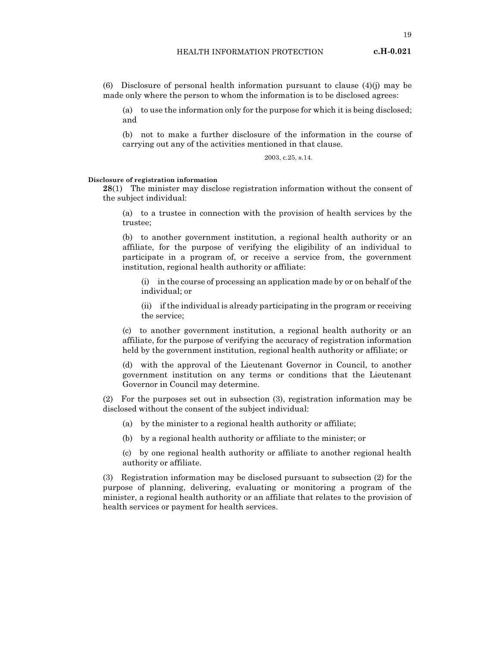(6) Disclosure of personal health information pursuant to clause (4)(j) may be made only where the person to whom the information is to be disclosed agrees:

(a) to use the information only for the purpose for which it is being disclosed; and

(b) not to make a further disclosure of the information in the course of carrying out any of the activities mentioned in that clause.

2003, c.25, s.14.

#### Disclosure of registration information

28(1) The minister may disclose registration information without the consent of the subject individual:

(a) to a trustee in connection with the provision of health services by the trustee;

(b) to another government institution, a regional health authority or an affiliate, for the purpose of verifying the eligibility of an individual to participate in a program of, or receive a service from, the government institution, regional health authority or affiliate:

(i) in the course of processing an application made by or on behalf of the individual; or

(ii) if the individual is already participating in the program or receiving the service;

(c) to another government institution, a regional health authority or an affiliate, for the purpose of verifying the accuracy of registration information held by the government institution, regional health authority or affiliate; or

(d) with the approval of the Lieutenant Governor in Council, to another government institution on any terms or conditions that the Lieutenant Governor in Council may determine.

(2) For the purposes set out in subsection (3), registration information may be disclosed without the consent of the subject individual:

- (a) by the minister to a regional health authority or affiliate;
- (b) by a regional health authority or affiliate to the minister; or

(c) by one regional health authority or affiliate to another regional health authority or affiliate.

(3) Registration information may be disclosed pursuant to subsection (2) for the purpose of planning, delivering, evaluating or monitoring a program of the minister, a regional health authority or an affiliate that relates to the provision of health services or payment for health services.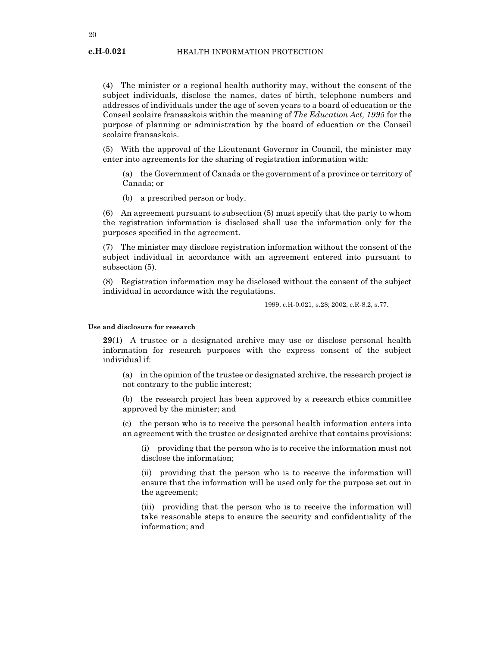20

(4) The minister or a regional health authority may, without the consent of the subject individuals, disclose the names, dates of birth, telephone numbers and addresses of individuals under the age of seven years to a board of education or the Conseil scolaire fransaskois within the meaning of The Education Act, 1995 for the purpose of planning or administration by the board of education or the Conseil scolaire fransaskois.

(5) With the approval of the Lieutenant Governor in Council, the minister may enter into agreements for the sharing of registration information with:

(a) the Government of Canada or the government of a province or territory of Canada; or

(b) a prescribed person or body.

(6) An agreement pursuant to subsection (5) must specify that the party to whom the registration information is disclosed shall use the information only for the purposes specified in the agreement.

(7) The minister may disclose registration information without the consent of the subject individual in accordance with an agreement entered into pursuant to subsection (5).

(8) Registration information may be disclosed without the consent of the subject individual in accordance with the regulations.

1999, c.H-0.021, s.28; 2002, c.R-8.2, s.77.

#### Use and disclosure for research

29(1) A trustee or a designated archive may use or disclose personal health information for research purposes with the express consent of the subject individual if:

(a) in the opinion of the trustee or designated archive, the research project is not contrary to the public interest;

(b) the research project has been approved by a research ethics committee approved by the minister; and

(c) the person who is to receive the personal health information enters into an agreement with the trustee or designated archive that contains provisions:

(i) providing that the person who is to receive the information must not disclose the information;

(ii) providing that the person who is to receive the information will ensure that the information will be used only for the purpose set out in the agreement;

(iii) providing that the person who is to receive the information will take reasonable steps to ensure the security and confidentiality of the information; and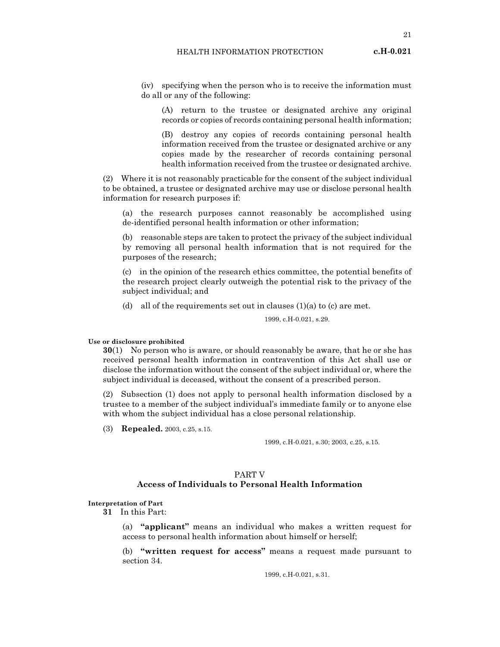(iv) specifying when the person who is to receive the information must do all or any of the following:

(A) return to the trustee or designated archive any original records or copies of records containing personal health information;

(B) destroy any copies of records containing personal health information received from the trustee or designated archive or any copies made by the researcher of records containing personal health information received from the trustee or designated archive.

(2) Where it is not reasonably practicable for the consent of the subject individual to be obtained, a trustee or designated archive may use or disclose personal health information for research purposes if:

(a) the research purposes cannot reasonably be accomplished using de-identified personal health information or other information;

(b) reasonable steps are taken to protect the privacy of the subject individual by removing all personal health information that is not required for the purposes of the research;

(c) in the opinion of the research ethics committee, the potential benefits of the research project clearly outweigh the potential risk to the privacy of the subject individual; and

(d) all of the requirements set out in clauses  $(1)(a)$  to  $(c)$  are met.

1999, c.H-0.021, s.29.

Use or disclosure prohibited

30(1) No person who is aware, or should reasonably be aware, that he or she has received personal health information in contravention of this Act shall use or disclose the information without the consent of the subject individual or, where the subject individual is deceased, without the consent of a prescribed person.

(2) Subsection (1) does not apply to personal health information disclosed by a trustee to a member of the subject individual's immediate family or to anyone else with whom the subject individual has a close personal relationship.

(3) Repealed. 2003, c.25, s.15.

1999, c.H-0.021, s.30; 2003, c.25, s.15.

# PART V Access of Individuals to Personal Health Information

# Interpretation of Part

31 In this Part:

(a) "applicant" means an individual who makes a written request for access to personal health information about himself or herself;

(b) "written request for access" means a request made pursuant to section 34.

1999, c.H-0.021, s.31.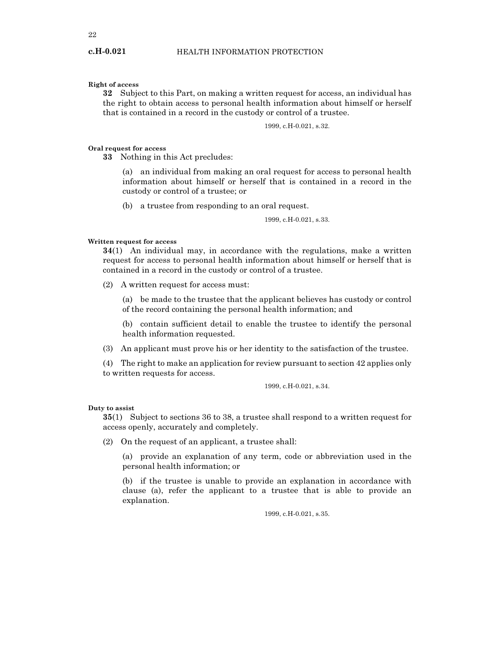# Right of access

c.H-0.021

32 Subject to this Part, on making a written request for access, an individual has the right to obtain access to personal health information about himself or herself that is contained in a record in the custody or control of a trustee.

1999, c.H-0.021, s.32.

#### Oral request for access

33 Nothing in this Act precludes:

(a) an individual from making an oral request for access to personal health information about himself or herself that is contained in a record in the custody or control of a trustee; or

(b) a trustee from responding to an oral request.

1999, c.H-0.021, s.33.

## Written request for access

34(1) An individual may, in accordance with the regulations, make a written request for access to personal health information about himself or herself that is contained in a record in the custody or control of a trustee.

(2) A written request for access must:

(a) be made to the trustee that the applicant believes has custody or control of the record containing the personal health information; and

(b) contain sufficient detail to enable the trustee to identify the personal health information requested.

(3) An applicant must prove his or her identity to the satisfaction of the trustee.

(4) The right to make an application for review pursuant to section 42 applies only to written requests for access.

1999, c.H-0.021, s.34.

#### Duty to assist

35(1) Subject to sections 36 to 38, a trustee shall respond to a written request for access openly, accurately and completely.

(2) On the request of an applicant, a trustee shall:

(a) provide an explanation of any term, code or abbreviation used in the personal health information; or

(b) if the trustee is unable to provide an explanation in accordance with clause (a), refer the applicant to a trustee that is able to provide an explanation.

1999, c.H-0.021, s.35.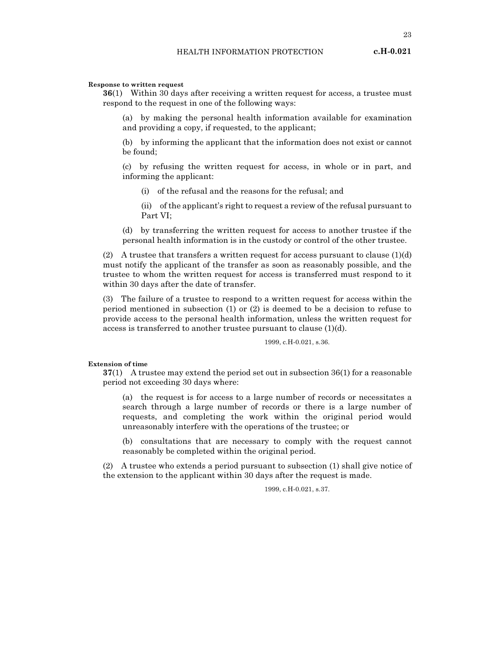Response to written request

36(1) Within 30 days after receiving a written request for access, a trustee must respond to the request in one of the following ways:

(a) by making the personal health information available for examination and providing a copy, if requested, to the applicant;

(b) by informing the applicant that the information does not exist or cannot be found;

(c) by refusing the written request for access, in whole or in part, and informing the applicant:

(i) of the refusal and the reasons for the refusal; and

(ii) of the applicant's right to request a review of the refusal pursuant to Part VI;

(d) by transferring the written request for access to another trustee if the personal health information is in the custody or control of the other trustee.

(2) A trustee that transfers a written request for access pursuant to clause  $(1)(d)$ must notify the applicant of the transfer as soon as reasonably possible, and the trustee to whom the written request for access is transferred must respond to it within 30 days after the date of transfer.

(3) The failure of a trustee to respond to a written request for access within the period mentioned in subsection (1) or (2) is deemed to be a decision to refuse to provide access to the personal health information, unless the written request for access is transferred to another trustee pursuant to clause (1)(d).

1999, c.H-0.021, s.36.

Extension of time

37(1) A trustee may extend the period set out in subsection 36(1) for a reasonable period not exceeding 30 days where:

(a) the request is for access to a large number of records or necessitates a search through a large number of records or there is a large number of requests, and completing the work within the original period would unreasonably interfere with the operations of the trustee; or

(b) consultations that are necessary to comply with the request cannot reasonably be completed within the original period.

(2) A trustee who extends a period pursuant to subsection (1) shall give notice of the extension to the applicant within 30 days after the request is made.

1999, c.H-0.021, s.37.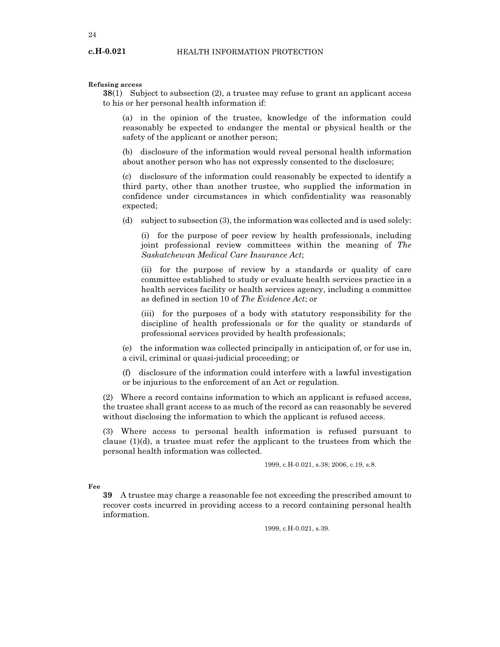Refusing access

c.H-0.021

38(1) Subject to subsection (2), a trustee may refuse to grant an applicant access to his or her personal health information if:

(a) in the opinion of the trustee, knowledge of the information could reasonably be expected to endanger the mental or physical health or the safety of the applicant or another person;

(b) disclosure of the information would reveal personal health information about another person who has not expressly consented to the disclosure;

(c) disclosure of the information could reasonably be expected to identify a third party, other than another trustee, who supplied the information in confidence under circumstances in which confidentiality was reasonably expected;

(d) subject to subsection (3), the information was collected and is used solely:

(i) for the purpose of peer review by health professionals, including joint professional review committees within the meaning of The Saskatchewan Medical Care Insurance Act;

(ii) for the purpose of review by a standards or quality of care committee established to study or evaluate health services practice in a health services facility or health services agency, including a committee as defined in section 10 of The Evidence Act; or

(iii) for the purposes of a body with statutory responsibility for the discipline of health professionals or for the quality or standards of professional services provided by health professionals;

(e) the information was collected principally in anticipation of, or for use in, a civil, criminal or quasi-judicial proceeding; or

(f) disclosure of the information could interfere with a lawful investigation or be injurious to the enforcement of an Act or regulation.

(2) Where a record contains information to which an applicant is refused access, the trustee shall grant access to as much of the record as can reasonably be severed without disclosing the information to which the applicant is refused access.

(3) Where access to personal health information is refused pursuant to clause (1)(d), a trustee must refer the applicant to the trustees from which the personal health information was collected.

1999, c.H-0.021, s.38; 2006, c.19, s.8.

Fee

39 A trustee may charge a reasonable fee not exceeding the prescribed amount to recover costs incurred in providing access to a record containing personal health information.

1999, c.H-0.021, s.39.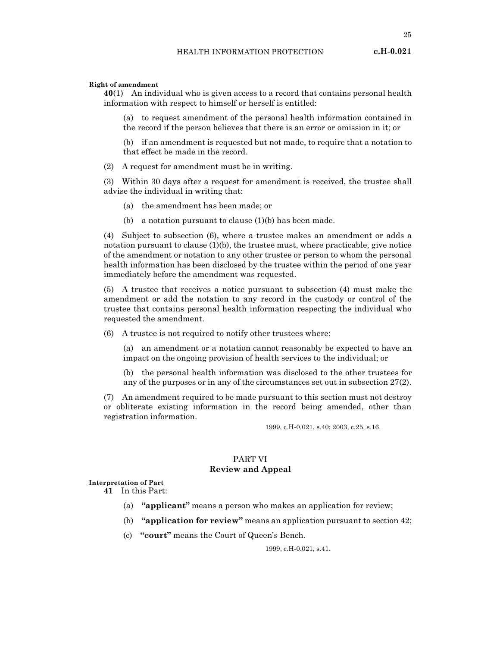# Right of amendment

40(1) An individual who is given access to a record that contains personal health information with respect to himself or herself is entitled:

(a) to request amendment of the personal health information contained in the record if the person believes that there is an error or omission in it; or

(b) if an amendment is requested but not made, to require that a notation to that effect be made in the record.

(2) A request for amendment must be in writing.

(3) Within 30 days after a request for amendment is received, the trustee shall advise the individual in writing that:

- (a) the amendment has been made; or
- (b) a notation pursuant to clause (1)(b) has been made.

(4) Subject to subsection (6), where a trustee makes an amendment or adds a notation pursuant to clause (1)(b), the trustee must, where practicable, give notice of the amendment or notation to any other trustee or person to whom the personal health information has been disclosed by the trustee within the period of one year immediately before the amendment was requested.

(5) A trustee that receives a notice pursuant to subsection (4) must make the amendment or add the notation to any record in the custody or control of the trustee that contains personal health information respecting the individual who requested the amendment.

(6) A trustee is not required to notify other trustees where:

(a) an amendment or a notation cannot reasonably be expected to have an impact on the ongoing provision of health services to the individual; or

(b) the personal health information was disclosed to the other trustees for any of the purposes or in any of the circumstances set out in subsection 27(2).

(7) An amendment required to be made pursuant to this section must not destroy or obliterate existing information in the record being amended, other than registration information.

1999, c.H-0.021, s.40; 2003, c.25, s.16.

# PART VI Review and Appeal

#### Interpretation of Part

41 In this Part:

- (a) "applicant" means a person who makes an application for review;
- (b) "application for review" means an application pursuant to section 42;
- (c) "court" means the Court of Queen's Bench.

1999, c.H-0.021, s.41.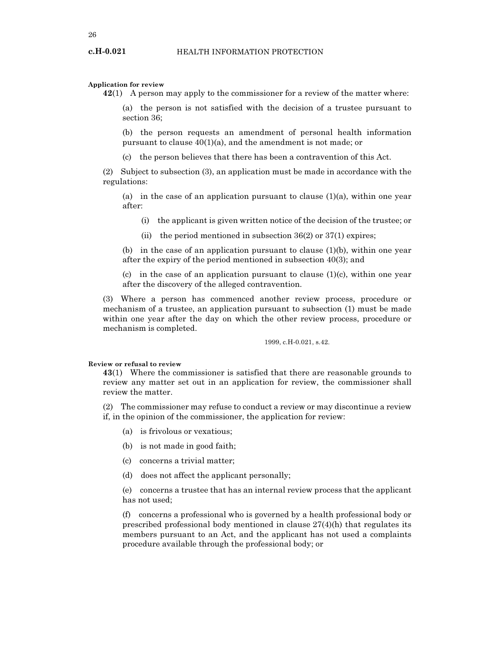#### Application for review

42(1) A person may apply to the commissioner for a review of the matter where:

(a) the person is not satisfied with the decision of a trustee pursuant to section 36;

(b) the person requests an amendment of personal health information pursuant to clause 40(1)(a), and the amendment is not made; or

(c) the person believes that there has been a contravention of this Act.

(2) Subject to subsection (3), an application must be made in accordance with the regulations:

(a) in the case of an application pursuant to clause  $(1)(a)$ , within one year after:

- (i) the applicant is given written notice of the decision of the trustee; or
- (ii) the period mentioned in subsection  $36(2)$  or  $37(1)$  expires;

(b) in the case of an application pursuant to clause  $(1)(b)$ , within one year after the expiry of the period mentioned in subsection 40(3); and

(c) in the case of an application pursuant to clause  $(1)(c)$ , within one year after the discovery of the alleged contravention.

(3) Where a person has commenced another review process, procedure or mechanism of a trustee, an application pursuant to subsection (1) must be made within one year after the day on which the other review process, procedure or mechanism is completed.

1999, c.H-0.021, s.42.

#### Review or refusal to review

43(1) Where the commissioner is satisfied that there are reasonable grounds to review any matter set out in an application for review, the commissioner shall review the matter.

(2) The commissioner may refuse to conduct a review or may discontinue a review if, in the opinion of the commissioner, the application for review:

- (a) is frivolous or vexatious;
- (b) is not made in good faith;
- (c) concerns a trivial matter;
- (d) does not affect the applicant personally;

(e) concerns a trustee that has an internal review process that the applicant has not used;

(f) concerns a professional who is governed by a health professional body or prescribed professional body mentioned in clause 27(4)(h) that regulates its members pursuant to an Act, and the applicant has not used a complaints procedure available through the professional body; or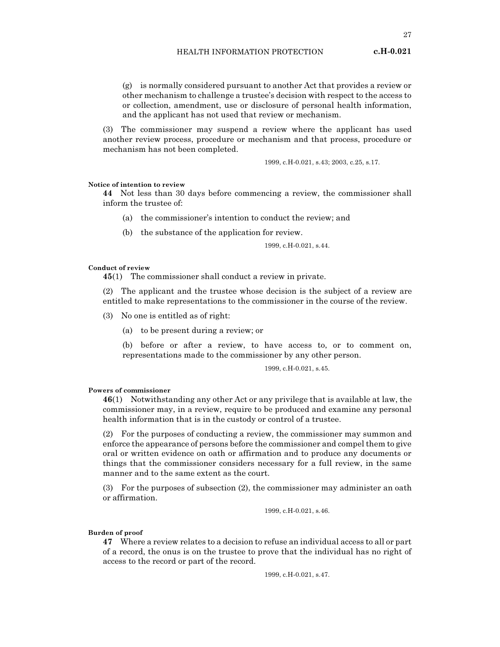(g) is normally considered pursuant to another Act that provides a review or other mechanism to challenge a trustee's decision with respect to the access to or collection, amendment, use or disclosure of personal health information, and the applicant has not used that review or mechanism.

(3) The commissioner may suspend a review where the applicant has used another review process, procedure or mechanism and that process, procedure or mechanism has not been completed.

1999, c.H-0.021, s.43; 2003, c.25, s.17.

#### Notice of intention to review

44 Not less than 30 days before commencing a review, the commissioner shall inform the trustee of:

- (a) the commissioner's intention to conduct the review; and
- (b) the substance of the application for review.

1999, c.H-0.021, s.44.

#### Conduct of review

45(1) The commissioner shall conduct a review in private.

(2) The applicant and the trustee whose decision is the subject of a review are entitled to make representations to the commissioner in the course of the review.

- (3) No one is entitled as of right:
	- (a) to be present during a review; or

(b) before or after a review, to have access to, or to comment on, representations made to the commissioner by any other person.

1999, c.H-0.021, s.45.

Powers of commissioner

46(1) Notwithstanding any other Act or any privilege that is available at law, the commissioner may, in a review, require to be produced and examine any personal health information that is in the custody or control of a trustee.

(2) For the purposes of conducting a review, the commissioner may summon and enforce the appearance of persons before the commissioner and compel them to give oral or written evidence on oath or affirmation and to produce any documents or things that the commissioner considers necessary for a full review, in the same manner and to the same extent as the court.

(3) For the purposes of subsection (2), the commissioner may administer an oath or affirmation.

1999, c.H-0.021, s.46.

#### Burden of proof

47 Where a review relates to a decision to refuse an individual access to all or part of a record, the onus is on the trustee to prove that the individual has no right of access to the record or part of the record.

1999, c.H-0.021, s.47.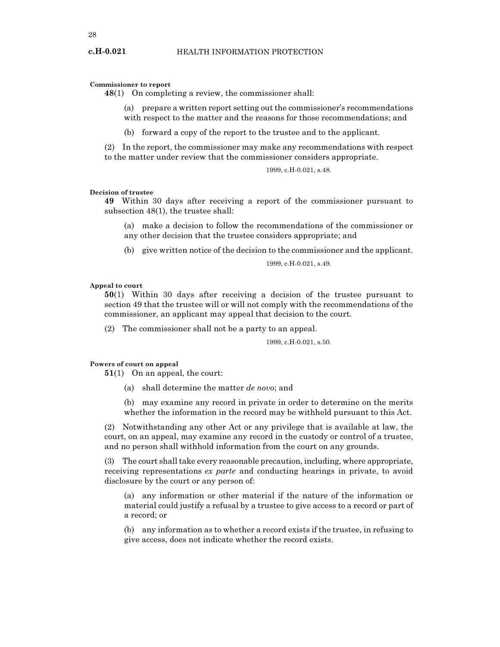#### Commissioner to report

48(1) On completing a review, the commissioner shall:

- (a) prepare a written report setting out the commissioner's recommendations with respect to the matter and the reasons for those recommendations; and
- (b) forward a copy of the report to the trustee and to the applicant.

(2) In the report, the commissioner may make any recommendations with respect to the matter under review that the commissioner considers appropriate.

1999, c.H-0.021, s.48.

#### Decision of trustee

49 Within 30 days after receiving a report of the commissioner pursuant to subsection 48(1), the trustee shall:

(a) make a decision to follow the recommendations of the commissioner or any other decision that the trustee considers appropriate; and

(b) give written notice of the decision to the commissioner and the applicant.

1999, c.H-0.021, s.49.

#### Appeal to court

50(1) Within 30 days after receiving a decision of the trustee pursuant to section 49 that the trustee will or will not comply with the recommendations of the commissioner, an applicant may appeal that decision to the court.

(2) The commissioner shall not be a party to an appeal.

#### 1999, c.H-0.021, s.50.

#### Powers of court on appeal

51(1) On an appeal, the court:

(a) shall determine the matter de novo; and

(b) may examine any record in private in order to determine on the merits whether the information in the record may be withheld pursuant to this Act.

(2) Notwithstanding any other Act or any privilege that is available at law, the court, on an appeal, may examine any record in the custody or control of a trustee, and no person shall withhold information from the court on any grounds.

(3) The court shall take every reasonable precaution, including, where appropriate, receiving representations ex parte and conducting hearings in private, to avoid disclosure by the court or any person of:

(a) any information or other material if the nature of the information or material could justify a refusal by a trustee to give access to a record or part of a record; or

(b) any information as to whether a record exists if the trustee, in refusing to give access, does not indicate whether the record exists.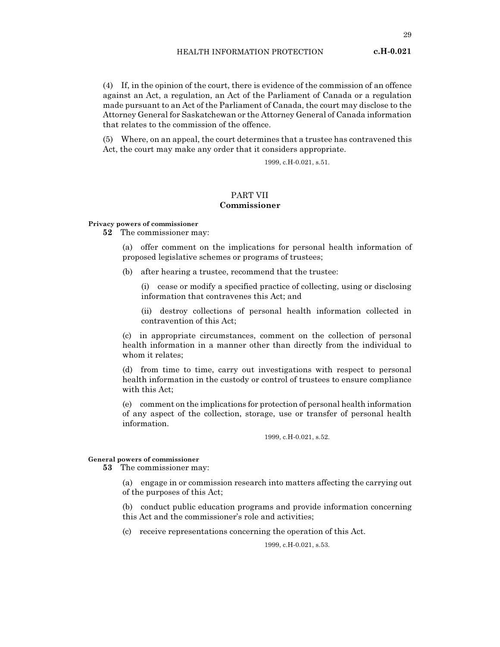(4) If, in the opinion of the court, there is evidence of the commission of an offence against an Act, a regulation, an Act of the Parliament of Canada or a regulation made pursuant to an Act of the Parliament of Canada, the court may disclose to the Attorney General for Saskatchewan or the Attorney General of Canada information that relates to the commission of the offence.

(5) Where, on an appeal, the court determines that a trustee has contravened this Act, the court may make any order that it considers appropriate.

1999, c.H-0.021, s.51.

# PART VII Commissioner

#### Privacy powers of commissioner

52 The commissioner may:

(a) offer comment on the implications for personal health information of proposed legislative schemes or programs of trustees;

(b) after hearing a trustee, recommend that the trustee:

(i) cease or modify a specified practice of collecting, using or disclosing information that contravenes this Act; and

(ii) destroy collections of personal health information collected in contravention of this Act;

(c) in appropriate circumstances, comment on the collection of personal health information in a manner other than directly from the individual to whom it relates;

(d) from time to time, carry out investigations with respect to personal health information in the custody or control of trustees to ensure compliance with this Act;

(e) comment on the implications for protection of personal health information of any aspect of the collection, storage, use or transfer of personal health information.

1999, c.H-0.021, s.52.

#### General powers of commissioner

53 The commissioner may:

(a) engage in or commission research into matters affecting the carrying out of the purposes of this Act;

(b) conduct public education programs and provide information concerning this Act and the commissioner's role and activities;

(c) receive representations concerning the operation of this Act.

1999, c.H-0.021, s.53.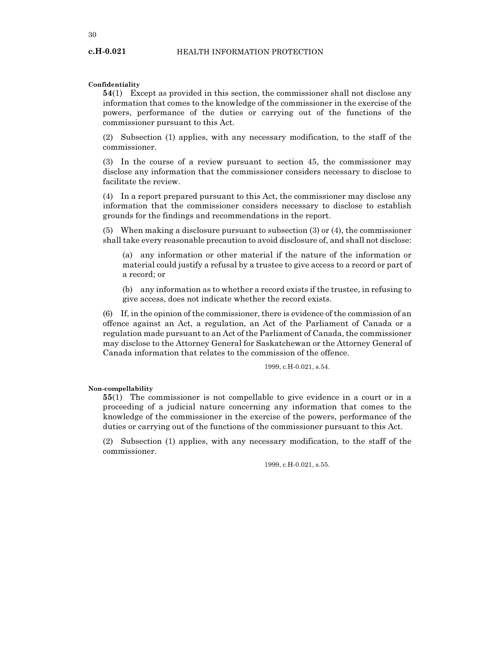#### Confidentiality

54(1) Except as provided in this section, the commissioner shall not disclose any information that comes to the knowledge of the commissioner in the exercise of the powers, performance of the duties or carrying out of the functions of the commissioner pursuant to this Act.

(2) Subsection (1) applies, with any necessary modification, to the staff of the commissioner.

(3) In the course of a review pursuant to section 45, the commissioner may disclose any information that the commissioner considers necessary to disclose to facilitate the review.

(4) In a report prepared pursuant to this Act, the commissioner may disclose any information that the commissioner considers necessary to disclose to establish grounds for the findings and recommendations in the report.

(5) When making a disclosure pursuant to subsection (3) or (4), the commissioner shall take every reasonable precaution to avoid disclosure of, and shall not disclose:

(a) any information or other material if the nature of the information or material could justify a refusal by a trustee to give access to a record or part of a record; or

(b) any information as to whether a record exists if the trustee, in refusing to give access, does not indicate whether the record exists.

(6) If, in the opinion of the commissioner, there is evidence of the commission of an offence against an Act, a regulation, an Act of the Parliament of Canada or a regulation made pursuant to an Act of the Parliament of Canada, the commissioner may disclose to the Attorney General for Saskatchewan or the Attorney General of Canada information that relates to the commission of the offence.

1999, c.H-0.021, s.54.

#### Non-compellability

55(1) The commissioner is not compellable to give evidence in a court or in a proceeding of a judicial nature concerning any information that comes to the knowledge of the commissioner in the exercise of the powers, performance of the duties or carrying out of the functions of the commissioner pursuant to this Act.

(2) Subsection (1) applies, with any necessary modification, to the staff of the commissioner.

1999, c.H-0.021, s.55.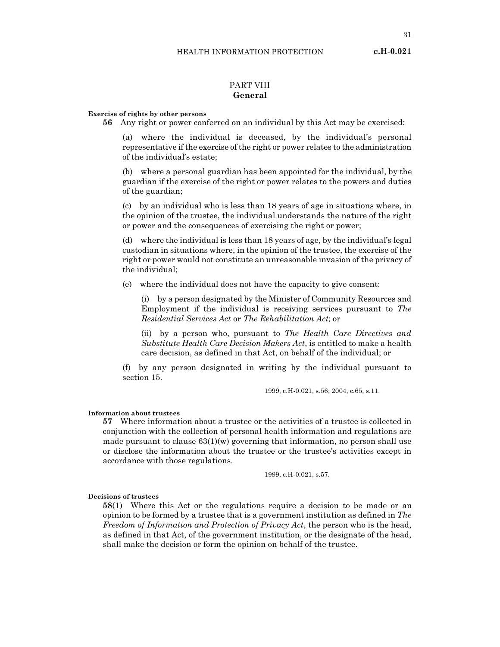# PART VIII General

#### Exercise of rights by other persons

56 Any right or power conferred on an individual by this Act may be exercised:

(a) where the individual is deceased, by the individual's personal representative if the exercise of the right or power relates to the administration of the individual's estate;

(b) where a personal guardian has been appointed for the individual, by the guardian if the exercise of the right or power relates to the powers and duties of the guardian;

(c) by an individual who is less than 18 years of age in situations where, in the opinion of the trustee, the individual understands the nature of the right or power and the consequences of exercising the right or power;

(d) where the individual is less than 18 years of age, by the individual's legal custodian in situations where, in the opinion of the trustee, the exercise of the right or power would not constitute an unreasonable invasion of the privacy of the individual;

(e) where the individual does not have the capacity to give consent:

(i) by a person designated by the Minister of Community Resources and Employment if the individual is receiving services pursuant to The Residential Services Act or The Rehabilitation Act; or

(ii) by a person who, pursuant to The Health Care Directives and Substitute Health Care Decision Makers Act, is entitled to make a health care decision, as defined in that Act, on behalf of the individual; or

(f) by any person designated in writing by the individual pursuant to section 15.

1999, c.H-0.021, s.56; 2004, c.65, s.11.

#### Information about trustees

57 Where information about a trustee or the activities of a trustee is collected in conjunction with the collection of personal health information and regulations are made pursuant to clause  $63(1)(w)$  governing that information, no person shall use or disclose the information about the trustee or the trustee's activities except in accordance with those regulations.

1999, c.H-0.021, s.57.

#### Decisions of trustees

58(1) Where this Act or the regulations require a decision to be made or an opinion to be formed by a trustee that is a government institution as defined in  $The$ Freedom of Information and Protection of Privacy Act, the person who is the head, as defined in that Act, of the government institution, or the designate of the head, shall make the decision or form the opinion on behalf of the trustee.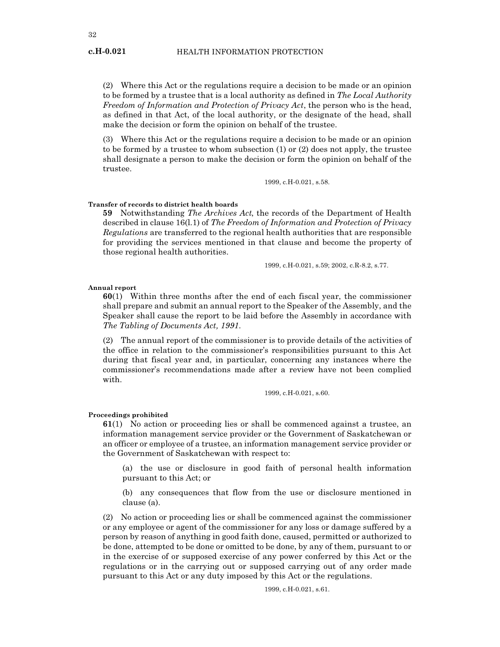(2) Where this Act or the regulations require a decision to be made or an opinion to be formed by a trustee that is a local authority as defined in The Local Authority Freedom of Information and Protection of Privacy Act, the person who is the head, as defined in that Act, of the local authority, or the designate of the head, shall make the decision or form the opinion on behalf of the trustee.

(3) Where this Act or the regulations require a decision to be made or an opinion to be formed by a trustee to whom subsection (1) or (2) does not apply, the trustee shall designate a person to make the decision or form the opinion on behalf of the trustee.

1999, c.H-0.021, s.58.

#### Transfer of records to district health boards

59 Notwithstanding The Archives Act, the records of the Department of Health described in clause 16(1.1) of The Freedom of Information and Protection of Privacy Regulations are transferred to the regional health authorities that are responsible for providing the services mentioned in that clause and become the property of those regional health authorities.

1999, c.H-0.021, s.59; 2002, c.R-8.2, s.77.

#### Annual report

60(1) Within three months after the end of each fiscal year, the commissioner shall prepare and submit an annual report to the Speaker of the Assembly, and the Speaker shall cause the report to be laid before the Assembly in accordance with The Tabling of Documents Act, 1991.

(2) The annual report of the commissioner is to provide details of the activities of the office in relation to the commissioner's responsibilities pursuant to this Act during that fiscal year and, in particular, concerning any instances where the commissioner's recommendations made after a review have not been complied with.

1999, c.H-0.021, s.60.

#### Proceedings prohibited

61(1) No action or proceeding lies or shall be commenced against a trustee, an information management service provider or the Government of Saskatchewan or an officer or employee of a trustee, an information management service provider or the Government of Saskatchewan with respect to:

(a) the use or disclosure in good faith of personal health information pursuant to this Act; or

(b) any consequences that flow from the use or disclosure mentioned in clause (a).

(2) No action or proceeding lies or shall be commenced against the commissioner or any employee or agent of the commissioner for any loss or damage suffered by a person by reason of anything in good faith done, caused, permitted or authorized to be done, attempted to be done or omitted to be done, by any of them, pursuant to or in the exercise of or supposed exercise of any power conferred by this Act or the regulations or in the carrying out or supposed carrying out of any order made pursuant to this Act or any duty imposed by this Act or the regulations.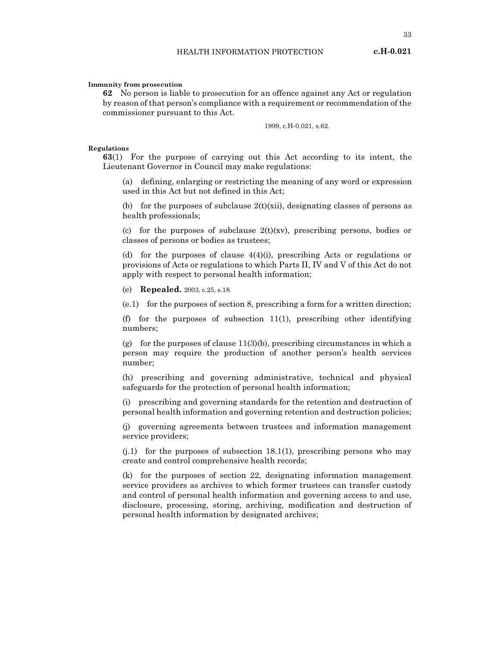33

#### Immunity from prosecution

62 No person is liable to prosecution for an offence against any Act or regulation by reason of that person's compliance with a requirement or recommendation of the commissioner pursuant to this Act.

1999, c.H-0.021, s.62.

#### Regulations

63(1) For the purpose of carrying out this Act according to its intent, the Lieutenant Governor in Council may make regulations:

(a) defining, enlarging or restricting the meaning of any word or expression used in this Act but not defined in this Act;

(b) for the purposes of subclause  $2(t)(xii)$ , designating classes of persons as health professionals;

(c) for the purposes of subclause  $2(t)(xv)$ , prescribing persons, bodies or classes of persons or bodies as trustees;

(d) for the purposes of clause 4(4)(i), prescribing Acts or regulations or provisions of Acts or regulations to which Parts II, IV and V of this Act do not apply with respect to personal health information;

(e) Repealed. 2003, c.25, s.18.

(e.1) for the purposes of section 8, prescribing a form for a written direction;

(f) for the purposes of subsection 11(1), prescribing other identifying numbers;

(g) for the purposes of clause  $11(3)(b)$ , prescribing circumstances in which a person may require the production of another person's health services number;

(h) prescribing and governing administrative, technical and physical safeguards for the protection of personal health information;

(i) prescribing and governing standards for the retention and destruction of personal health information and governing retention and destruction policies;

(j) governing agreements between trustees and information management service providers;

(j.1) for the purposes of subsection 18.1(1), prescribing persons who may create and control comprehensive health records;

(k) for the purposes of section 22, designating information management service providers as archives to which former trustees can transfer custody and control of personal health information and governing access to and use, disclosure, processing, storing, archiving, modification and destruction of personal health information by designated archives;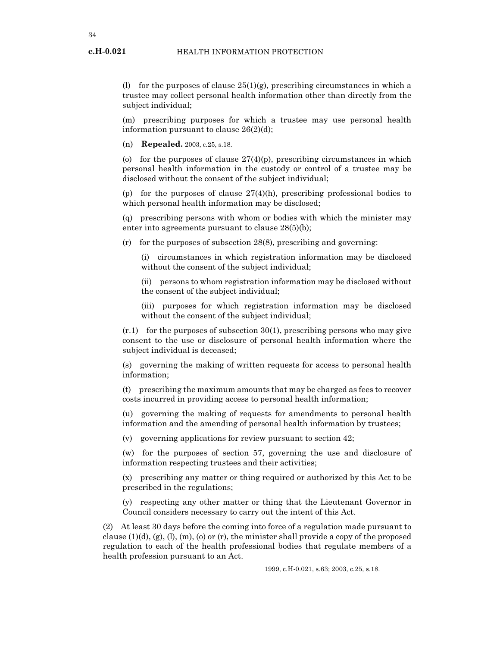(l) for the purposes of clause  $25(1)(g)$ , prescribing circumstances in which a trustee may collect personal health information other than directly from the subject individual;

(m) prescribing purposes for which a trustee may use personal health information pursuant to clause 26(2)(d);

(n) Repealed. 2003, c.25, s.18.

(o) for the purposes of clause  $27(4)(p)$ , prescribing circumstances in which personal health information in the custody or control of a trustee may be disclosed without the consent of the subject individual;

(p) for the purposes of clause  $27(4)(h)$ , prescribing professional bodies to which personal health information may be disclosed;

(q) prescribing persons with whom or bodies with which the minister may enter into agreements pursuant to clause 28(5)(b);

(r) for the purposes of subsection 28(8), prescribing and governing:

(i) circumstances in which registration information may be disclosed without the consent of the subject individual;

(ii) persons to whom registration information may be disclosed without the consent of the subject individual;

(iii) purposes for which registration information may be disclosed without the consent of the subject individual;

(r.1) for the purposes of subsection 30(1), prescribing persons who may give consent to the use or disclosure of personal health information where the subject individual is deceased;

(s) governing the making of written requests for access to personal health information;

(t) prescribing the maximum amounts that may be charged as fees to recover costs incurred in providing access to personal health information;

(u) governing the making of requests for amendments to personal health information and the amending of personal health information by trustees;

(v) governing applications for review pursuant to section 42;

(w) for the purposes of section 57, governing the use and disclosure of information respecting trustees and their activities;

(x) prescribing any matter or thing required or authorized by this Act to be prescribed in the regulations;

(y) respecting any other matter or thing that the Lieutenant Governor in Council considers necessary to carry out the intent of this Act.

(2) At least 30 days before the coming into force of a regulation made pursuant to clause  $(1)(d)$ ,  $(g)$ ,  $(l)$ ,  $(m)$ ,  $(o)$  or  $(r)$ , the minister shall provide a copy of the proposed regulation to each of the health professional bodies that regulate members of a health profession pursuant to an Act.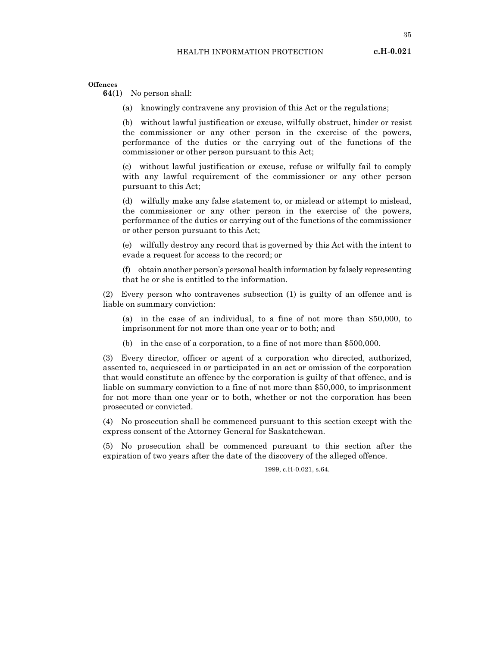35

**Offences** 

64(1) No person shall:

(a) knowingly contravene any provision of this Act or the regulations;

(b) without lawful justification or excuse, wilfully obstruct, hinder or resist the commissioner or any other person in the exercise of the powers, performance of the duties or the carrying out of the functions of the commissioner or other person pursuant to this Act;

(c) without lawful justification or excuse, refuse or wilfully fail to comply with any lawful requirement of the commissioner or any other person pursuant to this Act;

(d) wilfully make any false statement to, or mislead or attempt to mislead, the commissioner or any other person in the exercise of the powers, performance of the duties or carrying out of the functions of the commissioner or other person pursuant to this Act;

(e) wilfully destroy any record that is governed by this Act with the intent to evade a request for access to the record; or

(f) obtain another person's personal health information by falsely representing that he or she is entitled to the information.

(2) Every person who contravenes subsection (1) is guilty of an offence and is liable on summary conviction:

(a) in the case of an individual, to a fine of not more than \$50,000, to imprisonment for not more than one year or to both; and

(b) in the case of a corporation, to a fine of not more than \$500,000.

(3) Every director, officer or agent of a corporation who directed, authorized, assented to, acquiesced in or participated in an act or omission of the corporation that would constitute an offence by the corporation is guilty of that offence, and is liable on summary conviction to a fine of not more than \$50,000, to imprisonment for not more than one year or to both, whether or not the corporation has been prosecuted or convicted.

(4) No prosecution shall be commenced pursuant to this section except with the express consent of the Attorney General for Saskatchewan.

(5) No prosecution shall be commenced pursuant to this section after the expiration of two years after the date of the discovery of the alleged offence.

1999, c.H-0.021, s.64.